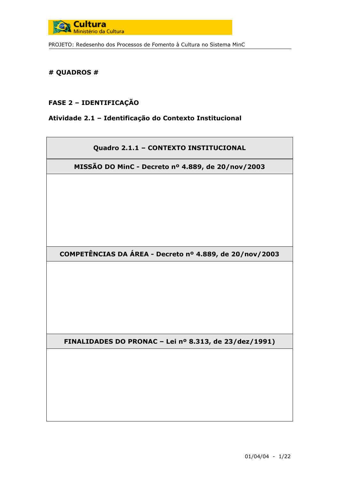

# # QUADROS #

### **FASE 2 - IDENTIFICAÇÃO**

#### Atividade 2.1 - Identificação do Contexto Institucional

# Quadro 2.1.1 - CONTEXTO INSTITUCIONAL

MISSÃO DO MinC - Decreto nº 4.889, de 20/nov/2003

COMPETÊNCIAS DA ÁREA - Decreto nº 4.889, de 20/nov/2003

FINALIDADES DO PRONAC - Lei nº 8.313, de 23/dez/1991)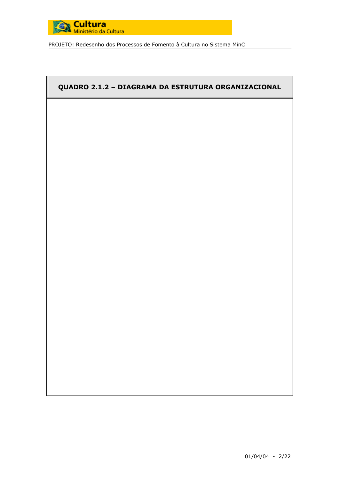

# QUADRO 2.1.2 - DIAGRAMA DA ESTRUTURA ORGANIZACIONAL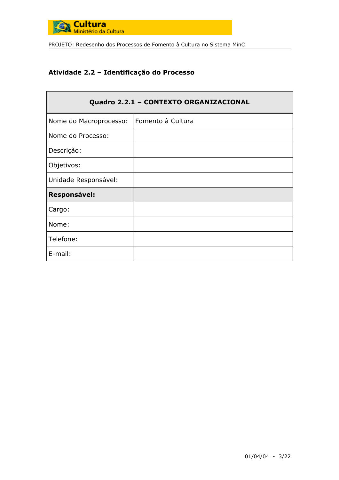

# Atividade 2.2 - Identificação do Processo

| Quadro 2.2.1 - CONTEXTO ORGANIZACIONAL |                   |  |  |
|----------------------------------------|-------------------|--|--|
| Nome do Macroprocesso:                 | Fomento à Cultura |  |  |
| Nome do Processo:                      |                   |  |  |
| Descrição:                             |                   |  |  |
| Objetivos:                             |                   |  |  |
| Unidade Responsável:                   |                   |  |  |
| <b>Responsável:</b>                    |                   |  |  |
| Cargo:                                 |                   |  |  |
| Nome:                                  |                   |  |  |
| Telefone:                              |                   |  |  |
| E-mail:                                |                   |  |  |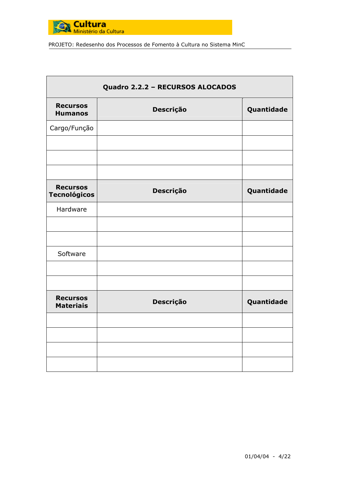

| Quadro 2.2.2 - RECURSOS ALOCADOS       |           |            |  |
|----------------------------------------|-----------|------------|--|
| <b>Recursos</b><br><b>Humanos</b>      | Descrição | Quantidade |  |
| Cargo/Função                           |           |            |  |
|                                        |           |            |  |
|                                        |           |            |  |
| <b>Recursos</b><br><b>Tecnológicos</b> | Descrição | Quantidade |  |
| Hardware                               |           |            |  |
|                                        |           |            |  |
| Software                               |           |            |  |
|                                        |           |            |  |
|                                        |           |            |  |
| <b>Recursos</b><br><b>Materiais</b>    | Descrição | Quantidade |  |
|                                        |           |            |  |
|                                        |           |            |  |
|                                        |           |            |  |
|                                        |           |            |  |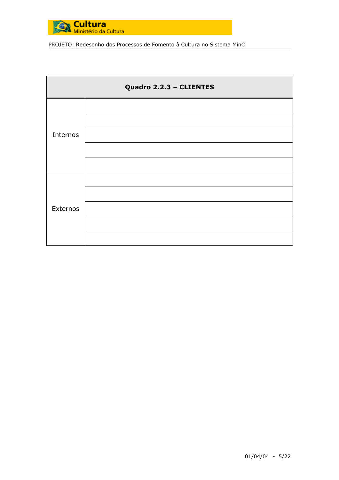

| Quadro 2.2.3 - CLIENTES |  |  |  |
|-------------------------|--|--|--|
| Internos                |  |  |  |
| Externos                |  |  |  |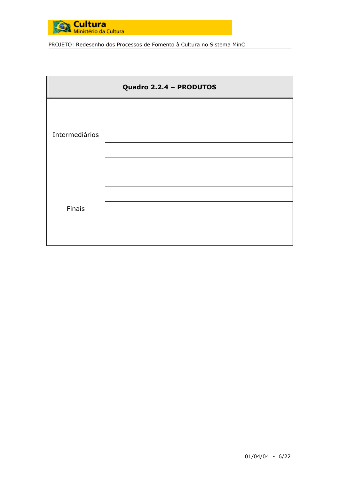

| Quadro 2.2.4 - PRODUTOS |  |  |  |
|-------------------------|--|--|--|
| Intermediários          |  |  |  |
| Finais                  |  |  |  |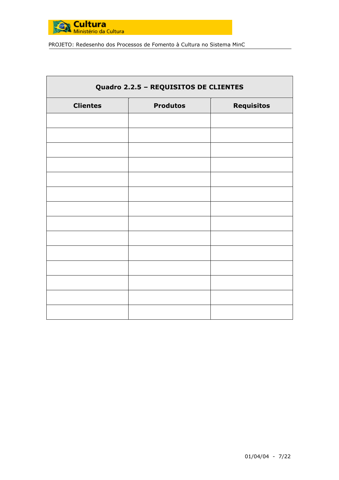

| Quadro 2.2.5 - REQUISITOS DE CLIENTES |                                      |  |  |  |  |
|---------------------------------------|--------------------------------------|--|--|--|--|
| <b>Clientes</b>                       | <b>Requisitos</b><br><b>Produtos</b> |  |  |  |  |
|                                       |                                      |  |  |  |  |
|                                       |                                      |  |  |  |  |
|                                       |                                      |  |  |  |  |
|                                       |                                      |  |  |  |  |
|                                       |                                      |  |  |  |  |
|                                       |                                      |  |  |  |  |
|                                       |                                      |  |  |  |  |
|                                       |                                      |  |  |  |  |
|                                       |                                      |  |  |  |  |
|                                       |                                      |  |  |  |  |
|                                       |                                      |  |  |  |  |
|                                       |                                      |  |  |  |  |
|                                       |                                      |  |  |  |  |
|                                       |                                      |  |  |  |  |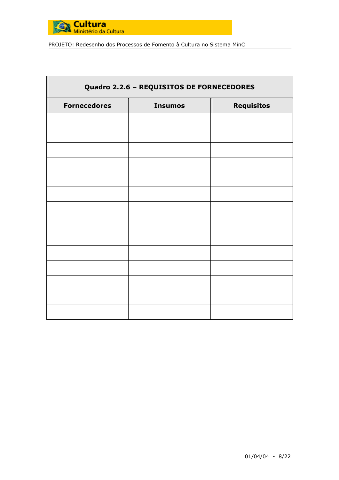

| Quadro 2.2.6 - REQUISITOS DE FORNECEDORES |                                     |  |  |  |
|-------------------------------------------|-------------------------------------|--|--|--|
| <b>Fornecedores</b>                       | <b>Requisitos</b><br><b>Insumos</b> |  |  |  |
|                                           |                                     |  |  |  |
|                                           |                                     |  |  |  |
|                                           |                                     |  |  |  |
|                                           |                                     |  |  |  |
|                                           |                                     |  |  |  |
|                                           |                                     |  |  |  |
|                                           |                                     |  |  |  |
|                                           |                                     |  |  |  |
|                                           |                                     |  |  |  |
|                                           |                                     |  |  |  |
|                                           |                                     |  |  |  |
|                                           |                                     |  |  |  |
|                                           |                                     |  |  |  |
|                                           |                                     |  |  |  |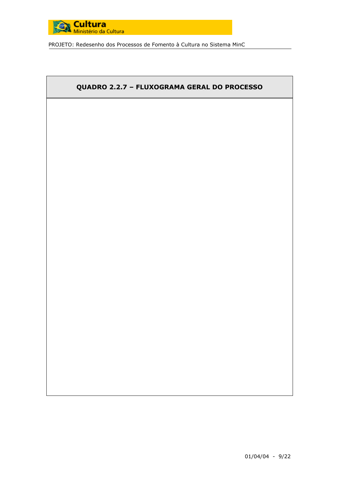

# QUADRO 2.2.7 - FLUXOGRAMA GERAL DO PROCESSO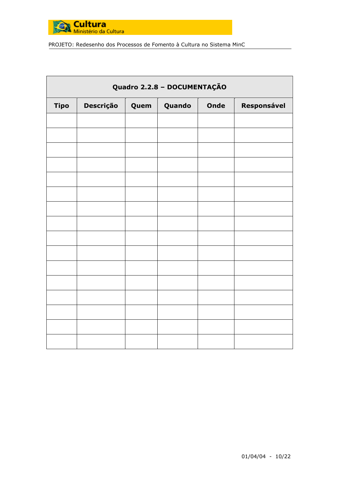

|             | Quadro 2.2.8 - DOCUMENTAÇÃO         |  |  |  |             |
|-------------|-------------------------------------|--|--|--|-------------|
| <b>Tipo</b> | Descrição<br>Quando<br>Onde<br>Quem |  |  |  | Responsável |
|             |                                     |  |  |  |             |
|             |                                     |  |  |  |             |
|             |                                     |  |  |  |             |
|             |                                     |  |  |  |             |
|             |                                     |  |  |  |             |
|             |                                     |  |  |  |             |
|             |                                     |  |  |  |             |
|             |                                     |  |  |  |             |
|             |                                     |  |  |  |             |
|             |                                     |  |  |  |             |
|             |                                     |  |  |  |             |
|             |                                     |  |  |  |             |
|             |                                     |  |  |  |             |
|             |                                     |  |  |  |             |
|             |                                     |  |  |  |             |
|             |                                     |  |  |  |             |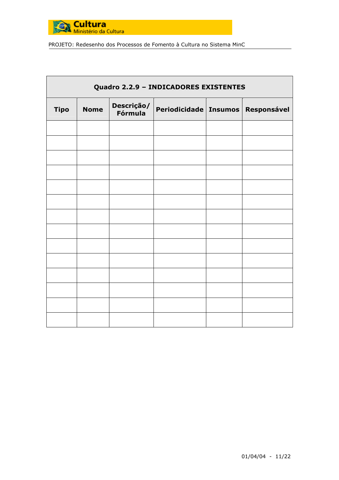

|             | Quadro 2.2.9 - INDICADORES EXISTENTES |                       |                                       |  |  |
|-------------|---------------------------------------|-----------------------|---------------------------------------|--|--|
| <b>Tipo</b> | <b>Nome</b>                           | Descrição/<br>Fórmula | Periodicidade   Insumos   Responsável |  |  |
|             |                                       |                       |                                       |  |  |
|             |                                       |                       |                                       |  |  |
|             |                                       |                       |                                       |  |  |
|             |                                       |                       |                                       |  |  |
|             |                                       |                       |                                       |  |  |
|             |                                       |                       |                                       |  |  |
|             |                                       |                       |                                       |  |  |
|             |                                       |                       |                                       |  |  |
|             |                                       |                       |                                       |  |  |
|             |                                       |                       |                                       |  |  |
|             |                                       |                       |                                       |  |  |
|             |                                       |                       |                                       |  |  |
|             |                                       |                       |                                       |  |  |
|             |                                       |                       |                                       |  |  |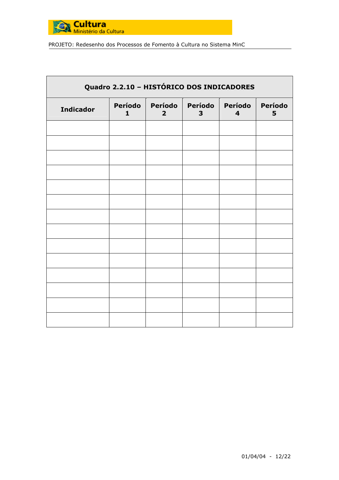

| Quadro 2.2.10 - HISTÓRICO DOS INDICADORES |                         |                           |              |                                    |              |
|-------------------------------------------|-------------------------|---------------------------|--------------|------------------------------------|--------------|
| <b>Indicador</b>                          | Período<br>$\mathbf{1}$ | Período<br>$\overline{2}$ | Período<br>3 | Período<br>$\overline{\mathbf{4}}$ | Período<br>5 |
|                                           |                         |                           |              |                                    |              |
|                                           |                         |                           |              |                                    |              |
|                                           |                         |                           |              |                                    |              |
|                                           |                         |                           |              |                                    |              |
|                                           |                         |                           |              |                                    |              |
|                                           |                         |                           |              |                                    |              |
|                                           |                         |                           |              |                                    |              |
|                                           |                         |                           |              |                                    |              |
|                                           |                         |                           |              |                                    |              |
|                                           |                         |                           |              |                                    |              |
|                                           |                         |                           |              |                                    |              |
|                                           |                         |                           |              |                                    |              |
|                                           |                         |                           |              |                                    |              |
|                                           |                         |                           |              |                                    |              |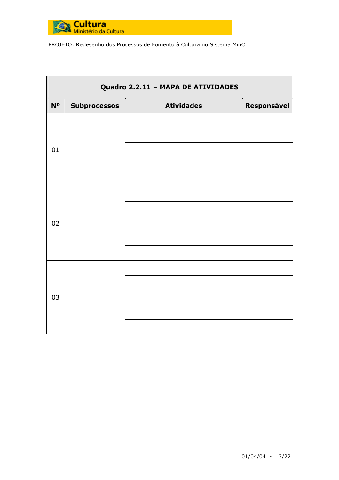

| Quadro 2.2.11 - MAPA DE ATIVIDADES |                     |                   |                    |  |
|------------------------------------|---------------------|-------------------|--------------------|--|
| <b>No</b>                          | <b>Subprocessos</b> | <b>Atividades</b> | <b>Responsável</b> |  |
| 01                                 |                     |                   |                    |  |
| 02                                 |                     |                   |                    |  |
| 03                                 |                     |                   |                    |  |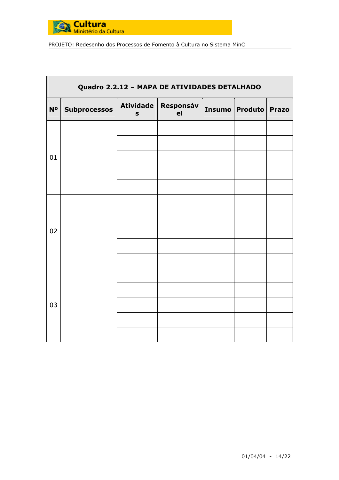

|                | Quadro 2.2.12 - MAPA DE ATIVIDADES DETALHADO |                                 |                 |  |                  |              |
|----------------|----------------------------------------------|---------------------------------|-----------------|--|------------------|--------------|
| N <sup>o</sup> | <b>Subprocessos</b>                          | <b>Atividade</b><br>$\mathbf S$ | Responsáv<br>el |  | Insumo   Produto | <b>Prazo</b> |
|                |                                              |                                 |                 |  |                  |              |
|                |                                              |                                 |                 |  |                  |              |
| 01             |                                              |                                 |                 |  |                  |              |
|                |                                              |                                 |                 |  |                  |              |
|                |                                              |                                 |                 |  |                  |              |
|                |                                              |                                 |                 |  |                  |              |
|                |                                              |                                 |                 |  |                  |              |
| 02             |                                              |                                 |                 |  |                  |              |
|                |                                              |                                 |                 |  |                  |              |
|                |                                              |                                 |                 |  |                  |              |
|                |                                              |                                 |                 |  |                  |              |
|                |                                              |                                 |                 |  |                  |              |
| 03             |                                              |                                 |                 |  |                  |              |
|                |                                              |                                 |                 |  |                  |              |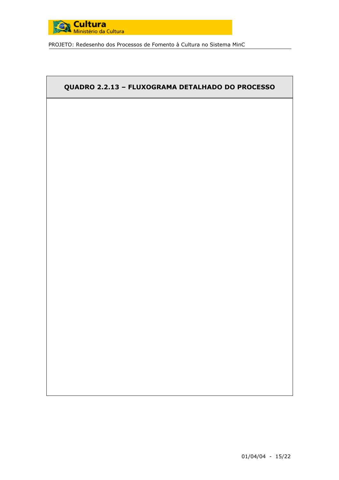

# QUADRO 2.2.13 - FLUXOGRAMA DETALHADO DO PROCESSO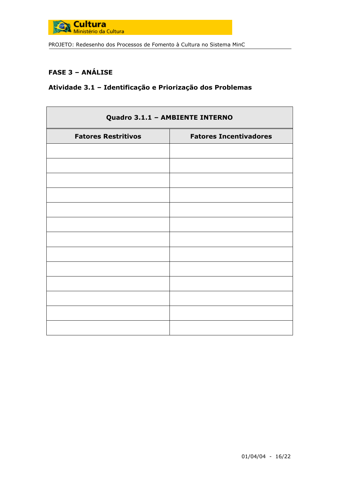

# **FASE 3 - ANÁLISE**

# Atividade 3.1 - Identificação e Priorização dos Problemas

| Quadro 3.1.1 - AMBIENTE INTERNO |                               |  |  |
|---------------------------------|-------------------------------|--|--|
| <b>Fatores Restritivos</b>      | <b>Fatores Incentivadores</b> |  |  |
|                                 |                               |  |  |
|                                 |                               |  |  |
|                                 |                               |  |  |
|                                 |                               |  |  |
|                                 |                               |  |  |
|                                 |                               |  |  |
|                                 |                               |  |  |
|                                 |                               |  |  |
|                                 |                               |  |  |
|                                 |                               |  |  |
|                                 |                               |  |  |
|                                 |                               |  |  |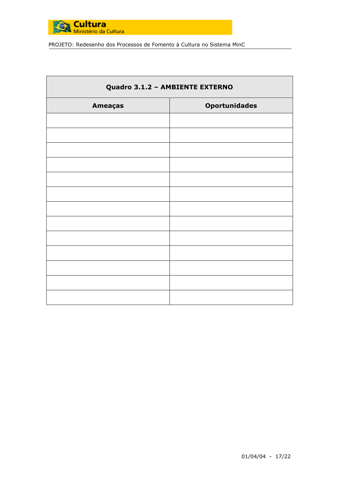

| Quadro 3.1.2 - AMBIENTE EXTERNO |  |  |  |  |  |
|---------------------------------|--|--|--|--|--|
| <b>Oportunidades</b>            |  |  |  |  |  |
|                                 |  |  |  |  |  |
|                                 |  |  |  |  |  |
|                                 |  |  |  |  |  |
|                                 |  |  |  |  |  |
|                                 |  |  |  |  |  |
|                                 |  |  |  |  |  |
|                                 |  |  |  |  |  |
|                                 |  |  |  |  |  |
|                                 |  |  |  |  |  |
|                                 |  |  |  |  |  |
|                                 |  |  |  |  |  |
|                                 |  |  |  |  |  |
|                                 |  |  |  |  |  |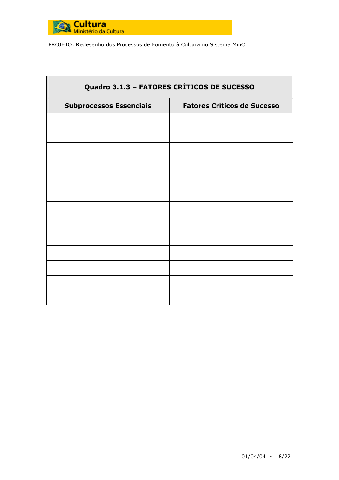

| Quadro 3.1.3 - FATORES CRÍTICOS DE SUCESSO |                                    |  |  |  |  |  |
|--------------------------------------------|------------------------------------|--|--|--|--|--|
| <b>Subprocessos Essenciais</b>             | <b>Fatores Críticos de Sucesso</b> |  |  |  |  |  |
|                                            |                                    |  |  |  |  |  |
|                                            |                                    |  |  |  |  |  |
|                                            |                                    |  |  |  |  |  |
|                                            |                                    |  |  |  |  |  |
|                                            |                                    |  |  |  |  |  |
|                                            |                                    |  |  |  |  |  |
|                                            |                                    |  |  |  |  |  |
|                                            |                                    |  |  |  |  |  |
|                                            |                                    |  |  |  |  |  |
|                                            |                                    |  |  |  |  |  |
|                                            |                                    |  |  |  |  |  |
|                                            |                                    |  |  |  |  |  |
|                                            |                                    |  |  |  |  |  |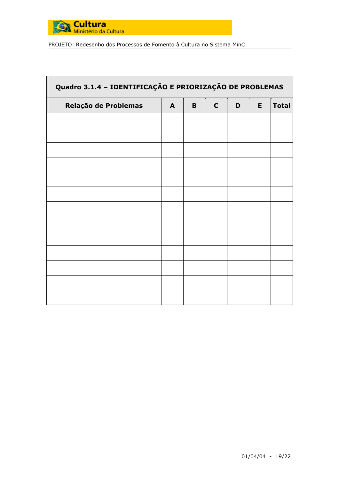

| Quadro 3.1.4 - IDENTIFICAÇÃO E PRIORIZAÇÃO DE PROBLEMAS |              |   |              |   |    |              |  |
|---------------------------------------------------------|--------------|---|--------------|---|----|--------------|--|
| Relação de Problemas                                    | $\mathbf{A}$ | B | $\mathbf{C}$ | D | E. | <b>Total</b> |  |
|                                                         |              |   |              |   |    |              |  |
|                                                         |              |   |              |   |    |              |  |
|                                                         |              |   |              |   |    |              |  |
|                                                         |              |   |              |   |    |              |  |
|                                                         |              |   |              |   |    |              |  |
|                                                         |              |   |              |   |    |              |  |
|                                                         |              |   |              |   |    |              |  |
|                                                         |              |   |              |   |    |              |  |
|                                                         |              |   |              |   |    |              |  |
|                                                         |              |   |              |   |    |              |  |
|                                                         |              |   |              |   |    |              |  |
|                                                         |              |   |              |   |    |              |  |
|                                                         |              |   |              |   |    |              |  |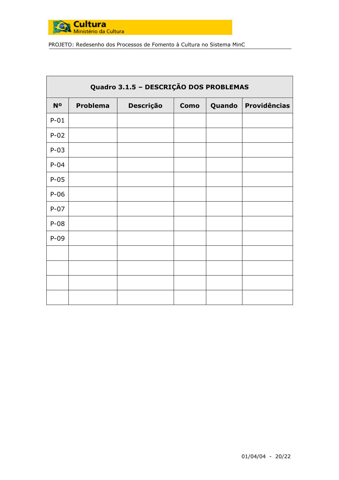

| Quadro 3.1.5 - DESCRIÇÃO DOS PROBLEMAS |                 |           |             |        |                     |
|----------------------------------------|-----------------|-----------|-------------|--------|---------------------|
| <b>No</b>                              | <b>Problema</b> | Descrição | <b>Como</b> | Quando | <b>Providências</b> |
| $P-01$                                 |                 |           |             |        |                     |
| $P-02$                                 |                 |           |             |        |                     |
| $P-03$                                 |                 |           |             |        |                     |
| $P-04$                                 |                 |           |             |        |                     |
| $P-05$                                 |                 |           |             |        |                     |
| $P-06$                                 |                 |           |             |        |                     |
| $P-07$                                 |                 |           |             |        |                     |
| $P-08$                                 |                 |           |             |        |                     |
| $P-09$                                 |                 |           |             |        |                     |
|                                        |                 |           |             |        |                     |
|                                        |                 |           |             |        |                     |
|                                        |                 |           |             |        |                     |
|                                        |                 |           |             |        |                     |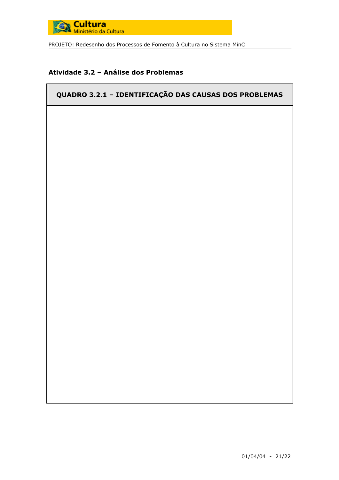

# Atividade 3.2 - Análise dos Problemas

# QUADRO 3.2.1 - IDENTIFICAÇÃO DAS CAUSAS DOS PROBLEMAS